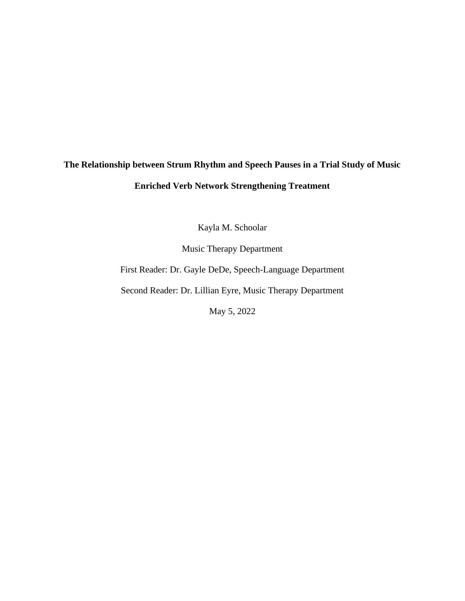# **The Relationship between Strum Rhythm and Speech Pauses in a Trial Study of Music Enriched Verb Network Strengthening Treatment**

Kayla M. Schoolar

Music Therapy Department

First Reader: Dr. Gayle DeDe, Speech-Language Department

Second Reader: Dr. Lillian Eyre, Music Therapy Department

May 5, 2022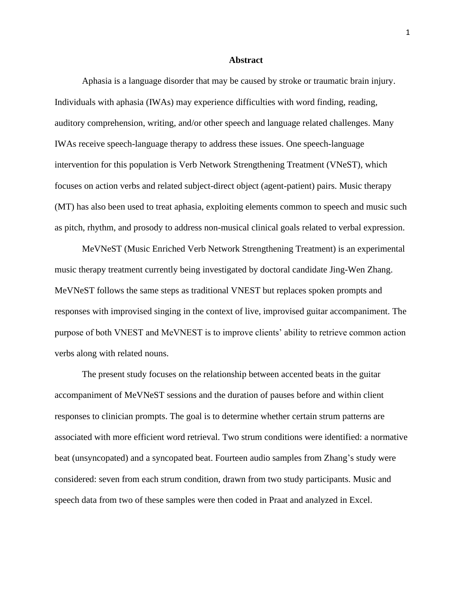#### **Abstract**

Aphasia is a language disorder that may be caused by stroke or traumatic brain injury. Individuals with aphasia (IWAs) may experience difficulties with word finding, reading, auditory comprehension, writing, and/or other speech and language related challenges. Many IWAs receive speech-language therapy to address these issues. One speech-language intervention for this population is Verb Network Strengthening Treatment (VNeST), which focuses on action verbs and related subject-direct object (agent-patient) pairs. Music therapy (MT) has also been used to treat aphasia, exploiting elements common to speech and music such as pitch, rhythm, and prosody to address non-musical clinical goals related to verbal expression.

MeVNeST (Music Enriched Verb Network Strengthening Treatment) is an experimental music therapy treatment currently being investigated by doctoral candidate Jing-Wen Zhang. MeVNeST follows the same steps as traditional VNEST but replaces spoken prompts and responses with improvised singing in the context of live, improvised guitar accompaniment. The purpose of both VNEST and MeVNEST is to improve clients' ability to retrieve common action verbs along with related nouns.

The present study focuses on the relationship between accented beats in the guitar accompaniment of MeVNeST sessions and the duration of pauses before and within client responses to clinician prompts. The goal is to determine whether certain strum patterns are associated with more efficient word retrieval. Two strum conditions were identified: a normative beat (unsyncopated) and a syncopated beat. Fourteen audio samples from Zhang's study were considered: seven from each strum condition, drawn from two study participants. Music and speech data from two of these samples were then coded in Praat and analyzed in Excel.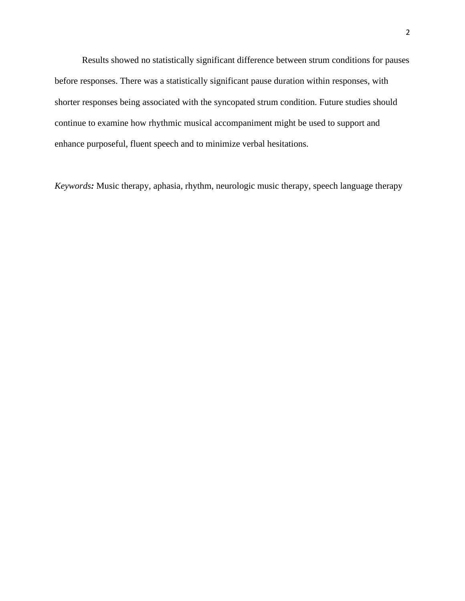Results showed no statistically significant difference between strum conditions for pauses before responses. There was a statistically significant pause duration within responses, with shorter responses being associated with the syncopated strum condition. Future studies should continue to examine how rhythmic musical accompaniment might be used to support and enhance purposeful, fluent speech and to minimize verbal hesitations.

*Keywords:* Music therapy, aphasia, rhythm, neurologic music therapy, speech language therapy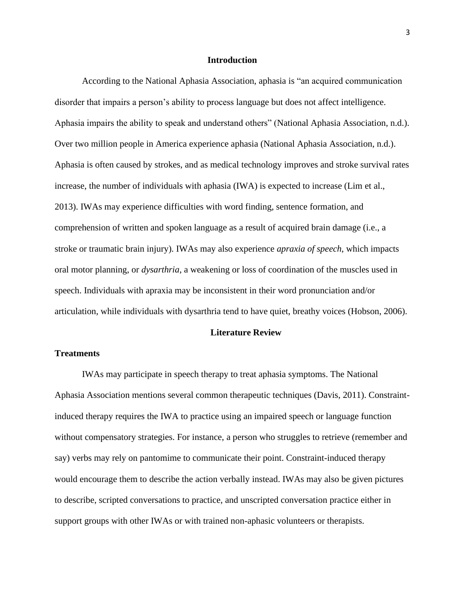#### **Introduction**

According to the National Aphasia Association, aphasia is "an acquired communication disorder that impairs a person's ability to process language but does not affect intelligence. Aphasia impairs the ability to speak and understand others" (National Aphasia Association, n.d.). Over two million people in America experience aphasia (National Aphasia Association, n.d.). Aphasia is often caused by strokes, and as medical technology improves and stroke survival rates increase, the number of individuals with aphasia (IWA) is expected to increase (Lim et al., 2013). IWAs may experience difficulties with word finding, sentence formation, and comprehension of written and spoken language as a result of acquired brain damage (i.e., a stroke or traumatic brain injury). IWAs may also experience *apraxia of speech*, which impacts oral motor planning, or *dysarthria*, a weakening or loss of coordination of the muscles used in speech. Individuals with apraxia may be inconsistent in their word pronunciation and/or articulation, while individuals with dysarthria tend to have quiet, breathy voices (Hobson, 2006).

#### **Literature Review**

## **Treatments**

IWAs may participate in speech therapy to treat aphasia symptoms. The National Aphasia Association mentions several common therapeutic techniques (Davis, 2011). Constraintinduced therapy requires the IWA to practice using an impaired speech or language function without compensatory strategies. For instance, a person who struggles to retrieve (remember and say) verbs may rely on pantomime to communicate their point. Constraint-induced therapy would encourage them to describe the action verbally instead. IWAs may also be given pictures to describe, scripted conversations to practice, and unscripted conversation practice either in support groups with other IWAs or with trained non-aphasic volunteers or therapists.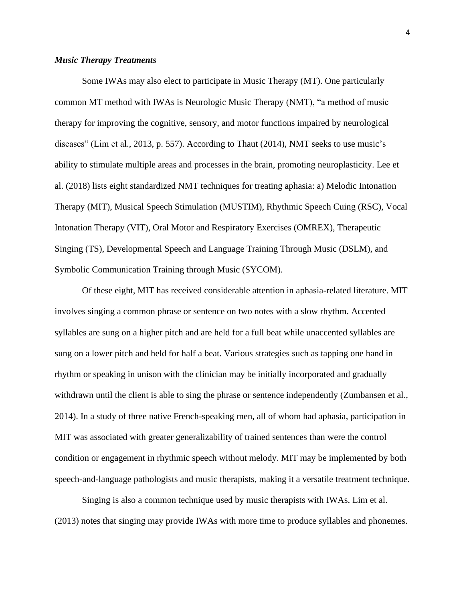## *Music Therapy Treatments*

Some IWAs may also elect to participate in Music Therapy (MT). One particularly common MT method with IWAs is Neurologic Music Therapy (NMT), "a method of music therapy for improving the cognitive, sensory, and motor functions impaired by neurological diseases" (Lim et al., 2013, p. 557). According to Thaut (2014), NMT seeks to use music's ability to stimulate multiple areas and processes in the brain, promoting neuroplasticity. Lee et al. (2018) lists eight standardized NMT techniques for treating aphasia: a) Melodic Intonation Therapy (MIT), Musical Speech Stimulation (MUSTIM), Rhythmic Speech Cuing (RSC), Vocal Intonation Therapy (VIT), Oral Motor and Respiratory Exercises (OMREX), Therapeutic Singing (TS), Developmental Speech and Language Training Through Music (DSLM), and Symbolic Communication Training through Music (SYCOM).

Of these eight, MIT has received considerable attention in aphasia-related literature. MIT involves singing a common phrase or sentence on two notes with a slow rhythm. Accented syllables are sung on a higher pitch and are held for a full beat while unaccented syllables are sung on a lower pitch and held for half a beat. Various strategies such as tapping one hand in rhythm or speaking in unison with the clinician may be initially incorporated and gradually withdrawn until the client is able to sing the phrase or sentence independently (Zumbansen et al., 2014). In a study of three native French-speaking men, all of whom had aphasia, participation in MIT was associated with greater generalizability of trained sentences than were the control condition or engagement in rhythmic speech without melody. MIT may be implemented by both speech-and-language pathologists and music therapists, making it a versatile treatment technique.

Singing is also a common technique used by music therapists with IWAs. Lim et al. (2013) notes that singing may provide IWAs with more time to produce syllables and phonemes.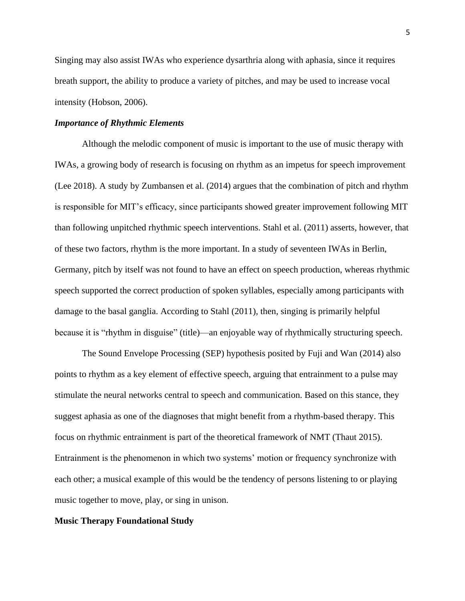Singing may also assist IWAs who experience dysarthria along with aphasia, since it requires breath support, the ability to produce a variety of pitches, and may be used to increase vocal intensity (Hobson, 2006).

## *Importance of Rhythmic Elements*

Although the melodic component of music is important to the use of music therapy with IWAs, a growing body of research is focusing on rhythm as an impetus for speech improvement (Lee 2018). A study by Zumbansen et al. (2014) argues that the combination of pitch and rhythm is responsible for MIT's efficacy, since participants showed greater improvement following MIT than following unpitched rhythmic speech interventions. Stahl et al. (2011) asserts, however, that of these two factors, rhythm is the more important. In a study of seventeen IWAs in Berlin, Germany, pitch by itself was not found to have an effect on speech production, whereas rhythmic speech supported the correct production of spoken syllables, especially among participants with damage to the basal ganglia. According to Stahl (2011), then, singing is primarily helpful because it is "rhythm in disguise" (title)—an enjoyable way of rhythmically structuring speech.

The Sound Envelope Processing (SEP) hypothesis posited by Fuji and Wan (2014) also points to rhythm as a key element of effective speech, arguing that entrainment to a pulse may stimulate the neural networks central to speech and communication. Based on this stance, they suggest aphasia as one of the diagnoses that might benefit from a rhythm-based therapy. This focus on rhythmic entrainment is part of the theoretical framework of NMT (Thaut 2015). Entrainment is the phenomenon in which two systems' motion or frequency synchronize with each other; a musical example of this would be the tendency of persons listening to or playing music together to move, play, or sing in unison.

## **Music Therapy Foundational Study**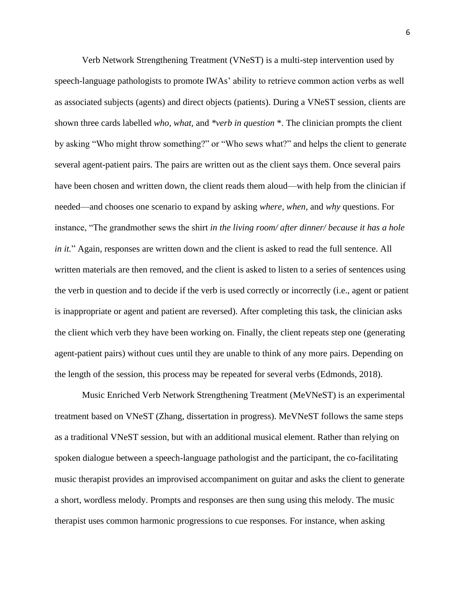Verb Network Strengthening Treatment (VNeST) is a multi-step intervention used by speech-language pathologists to promote IWAs' ability to retrieve common action verbs as well as associated subjects (agents) and direct objects (patients). During a VNeST session, clients are shown three cards labelled *who, what,* and *\*verb in question* \*. The clinician prompts the client by asking "Who might throw something?" or "Who sews what?" and helps the client to generate several agent-patient pairs. The pairs are written out as the client says them. Once several pairs have been chosen and written down, the client reads them aloud—with help from the clinician if needed—and chooses one scenario to expand by asking *where, when,* and *why* questions. For instance, "The grandmother sews the shirt *in the living room/ after dinner/ because it has a hole in it.*" Again, responses are written down and the client is asked to read the full sentence. All written materials are then removed, and the client is asked to listen to a series of sentences using the verb in question and to decide if the verb is used correctly or incorrectly (i.e., agent or patient is inappropriate or agent and patient are reversed). After completing this task, the clinician asks the client which verb they have been working on. Finally, the client repeats step one (generating agent-patient pairs) without cues until they are unable to think of any more pairs. Depending on the length of the session, this process may be repeated for several verbs (Edmonds, 2018).

Music Enriched Verb Network Strengthening Treatment (MeVNeST) is an experimental treatment based on VNeST (Zhang, dissertation in progress). MeVNeST follows the same steps as a traditional VNeST session, but with an additional musical element. Rather than relying on spoken dialogue between a speech-language pathologist and the participant, the co-facilitating music therapist provides an improvised accompaniment on guitar and asks the client to generate a short, wordless melody. Prompts and responses are then sung using this melody. The music therapist uses common harmonic progressions to cue responses. For instance, when asking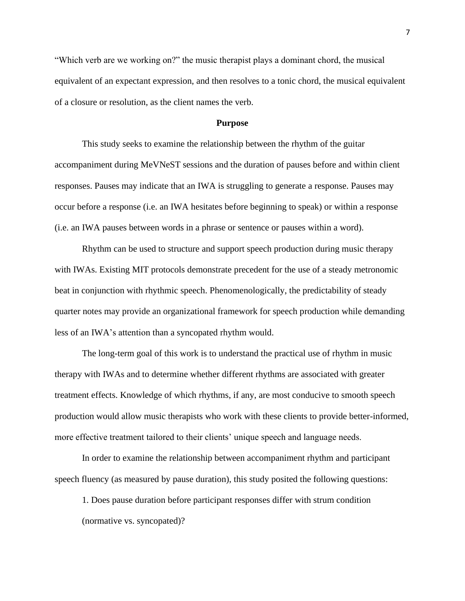"Which verb are we working on?" the music therapist plays a dominant chord, the musical equivalent of an expectant expression, and then resolves to a tonic chord, the musical equivalent of a closure or resolution, as the client names the verb.

## **Purpose**

This study seeks to examine the relationship between the rhythm of the guitar accompaniment during MeVNeST sessions and the duration of pauses before and within client responses. Pauses may indicate that an IWA is struggling to generate a response. Pauses may occur before a response (i.e. an IWA hesitates before beginning to speak) or within a response (i.e. an IWA pauses between words in a phrase or sentence or pauses within a word).

Rhythm can be used to structure and support speech production during music therapy with IWAs. Existing MIT protocols demonstrate precedent for the use of a steady metronomic beat in conjunction with rhythmic speech. Phenomenologically, the predictability of steady quarter notes may provide an organizational framework for speech production while demanding less of an IWA's attention than a syncopated rhythm would.

The long-term goal of this work is to understand the practical use of rhythm in music therapy with IWAs and to determine whether different rhythms are associated with greater treatment effects. Knowledge of which rhythms, if any, are most conducive to smooth speech production would allow music therapists who work with these clients to provide better-informed, more effective treatment tailored to their clients' unique speech and language needs.

In order to examine the relationship between accompaniment rhythm and participant speech fluency (as measured by pause duration), this study posited the following questions:

1. Does pause duration before participant responses differ with strum condition (normative vs. syncopated)?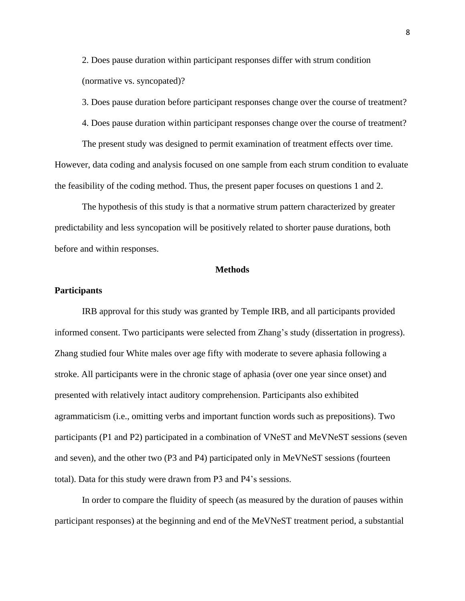2. Does pause duration within participant responses differ with strum condition (normative vs. syncopated)?

3. Does pause duration before participant responses change over the course of treatment?

4. Does pause duration within participant responses change over the course of treatment?

The present study was designed to permit examination of treatment effects over time. However, data coding and analysis focused on one sample from each strum condition to evaluate the feasibility of the coding method. Thus, the present paper focuses on questions 1 and 2.

The hypothesis of this study is that a normative strum pattern characterized by greater predictability and less syncopation will be positively related to shorter pause durations, both before and within responses.

## **Methods**

## **Participants**

IRB approval for this study was granted by Temple IRB, and all participants provided informed consent. Two participants were selected from Zhang's study (dissertation in progress). Zhang studied four White males over age fifty with moderate to severe aphasia following a stroke. All participants were in the chronic stage of aphasia (over one year since onset) and presented with relatively intact auditory comprehension. Participants also exhibited agrammaticism (i.e., omitting verbs and important function words such as prepositions). Two participants (P1 and P2) participated in a combination of VNeST and MeVNeST sessions (seven and seven), and the other two (P3 and P4) participated only in MeVNeST sessions (fourteen total). Data for this study were drawn from P3 and P4's sessions.

In order to compare the fluidity of speech (as measured by the duration of pauses within participant responses) at the beginning and end of the MeVNeST treatment period, a substantial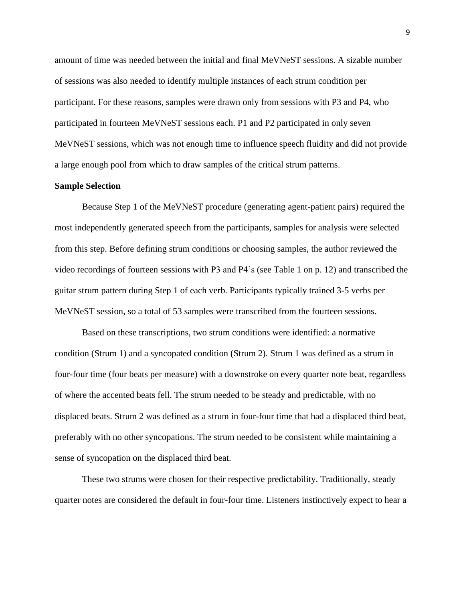amount of time was needed between the initial and final MeVNeST sessions. A sizable number of sessions was also needed to identify multiple instances of each strum condition per participant. For these reasons, samples were drawn only from sessions with P3 and P4, who participated in fourteen MeVNeST sessions each. P1 and P2 participated in only seven MeVNeST sessions, which was not enough time to influence speech fluidity and did not provide a large enough pool from which to draw samples of the critical strum patterns.

## **Sample Selection**

Because Step 1 of the MeVNeST procedure (generating agent-patient pairs) required the most independently generated speech from the participants, samples for analysis were selected from this step. Before defining strum conditions or choosing samples, the author reviewed the video recordings of fourteen sessions with P3 and P4's (see Table 1 on p. 12) and transcribed the guitar strum pattern during Step 1 of each verb. Participants typically trained 3-5 verbs per MeVNeST session, so a total of 53 samples were transcribed from the fourteen sessions.

Based on these transcriptions, two strum conditions were identified: a normative condition (Strum 1) and a syncopated condition (Strum 2). Strum 1 was defined as a strum in four-four time (four beats per measure) with a downstroke on every quarter note beat, regardless of where the accented beats fell. The strum needed to be steady and predictable, with no displaced beats. Strum 2 was defined as a strum in four-four time that had a displaced third beat, preferably with no other syncopations. The strum needed to be consistent while maintaining a sense of syncopation on the displaced third beat.

These two strums were chosen for their respective predictability. Traditionally, steady quarter notes are considered the default in four-four time. Listeners instinctively expect to hear a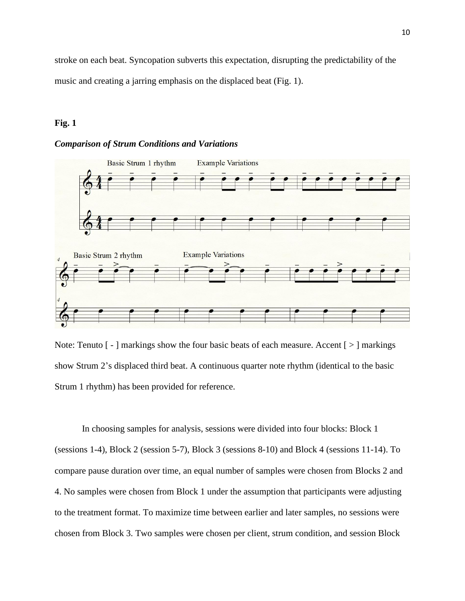stroke on each beat. Syncopation subverts this expectation, disrupting the predictability of the music and creating a jarring emphasis on the displaced beat (Fig. 1).

## **Fig. 1**

## *Comparison of Strum Conditions and Variations*



Note: Tenuto  $\lceil - \rceil$  markings show the four basic beats of each measure. Accent  $\lceil > \rceil$  markings show Strum 2's displaced third beat. A continuous quarter note rhythm (identical to the basic Strum 1 rhythm) has been provided for reference.

In choosing samples for analysis, sessions were divided into four blocks: Block 1 (sessions 1-4), Block 2 (session 5-7), Block 3 (sessions 8-10) and Block 4 (sessions 11-14). To compare pause duration over time, an equal number of samples were chosen from Blocks 2 and 4. No samples were chosen from Block 1 under the assumption that participants were adjusting to the treatment format. To maximize time between earlier and later samples, no sessions were chosen from Block 3. Two samples were chosen per client, strum condition, and session Block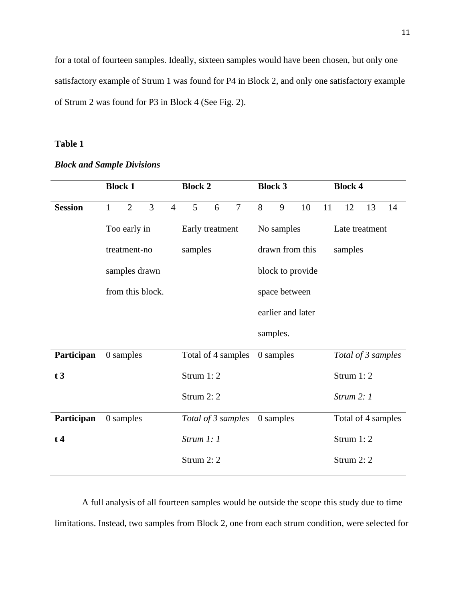for a total of fourteen samples. Ideally, sixteen samples would have been chosen, but only one satisfactory example of Strum 1 was found for P4 in Block 2, and only one satisfactory example of Strum 2 was found for P3 in Block 4 (See Fig. 2).

## **Table 1**

|                | <b>Block 1</b>   |                |                |                    | <b>Block 2</b>  |                    |                 | <b>Block 3</b>   |           | <b>Block 4</b>    |                    |                    |    |    |
|----------------|------------------|----------------|----------------|--------------------|-----------------|--------------------|-----------------|------------------|-----------|-------------------|--------------------|--------------------|----|----|
| <b>Session</b> | $\mathbf{1}$     | $\overline{2}$ | $\overline{3}$ | $\overline{4}$     | 5               | 6                  | $\overline{7}$  | 8                | 9         | 10                | 11                 | 12                 | 13 | 14 |
|                | Too early in     |                |                |                    | Early treatment |                    |                 | No samples       |           | Late treatment    |                    |                    |    |    |
|                | treatment-no     |                |                | samples            |                 |                    | drawn from this |                  |           |                   | samples            |                    |    |    |
|                | samples drawn    |                |                |                    |                 |                    |                 | block to provide |           |                   |                    |                    |    |    |
|                | from this block. |                |                |                    |                 |                    | space between   |                  |           |                   |                    |                    |    |    |
|                |                  |                |                |                    |                 |                    |                 |                  |           | earlier and later |                    |                    |    |    |
|                |                  |                |                |                    |                 |                    |                 |                  | samples.  |                   |                    |                    |    |    |
| Participan     |                  | 0 samples      |                |                    |                 | Total of 4 samples |                 |                  | 0 samples |                   |                    | Total of 3 samples |    |    |
| t3             |                  |                |                | Strum 1:2          |                 |                    |                 |                  |           | Strum 1:2         |                    |                    |    |    |
|                |                  |                |                |                    | Strum 2:2       |                    |                 |                  |           |                   |                    | Strum $2:1$        |    |    |
| Participan     |                  | 0 samples      |                | Total of 3 samples |                 |                    | 0 samples       |                  |           |                   | Total of 4 samples |                    |    |    |
| $t\,4$         |                  |                |                | Strum $1:1$        |                 |                    |                 |                  |           | Strum 1:2         |                    |                    |    |    |
|                |                  |                |                | Strum 2: 2         |                 |                    |                 |                  |           |                   | Strum 2:2          |                    |    |    |

## *Block and Sample Divisions*

A full analysis of all fourteen samples would be outside the scope this study due to time limitations. Instead, two samples from Block 2, one from each strum condition, were selected for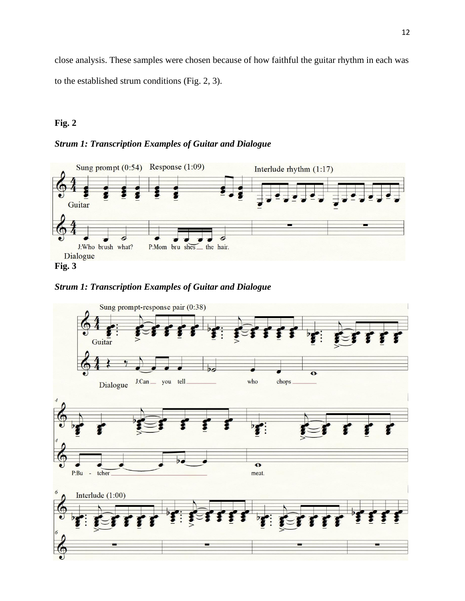close analysis. These samples were chosen because of how faithful the guitar rhythm in each was to the established strum conditions (Fig. 2, 3).

## **Fig. 2**

## *Strum 1: Transcription Examples of Guitar and Dialogue*





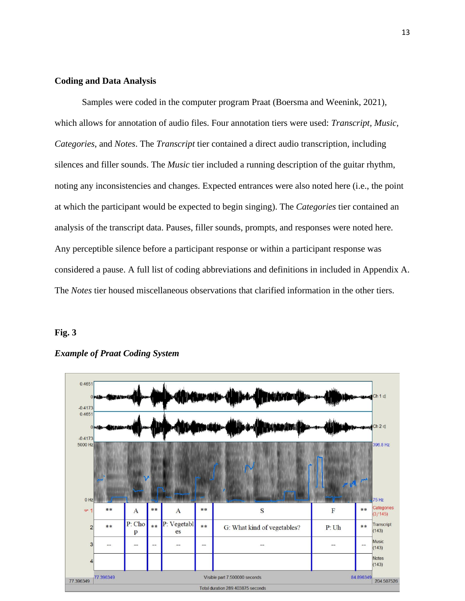## **Coding and Data Analysis**

Samples were coded in the computer program Praat (Boersma and Weenink, 2021), which allows for annotation of audio files. Four annotation tiers were used: *Transcript, Music, Categories*, and *Notes*. The *Transcript* tier contained a direct audio transcription, including silences and filler sounds. The *Music* tier included a running description of the guitar rhythm, noting any inconsistencies and changes. Expected entrances were also noted here (i.e., the point at which the participant would be expected to begin singing). The *Categories* tier contained an analysis of the transcript data. Pauses, filler sounds, prompts, and responses were noted here. Any perceptible silence before a participant response or within a participant response was considered a pause. A full list of coding abbreviations and definitions in included in Appendix A. The *Notes* tier housed miscellaneous observations that clarified information in the other tiers.

## **Fig. 3**



## *Example of Praat Coding System*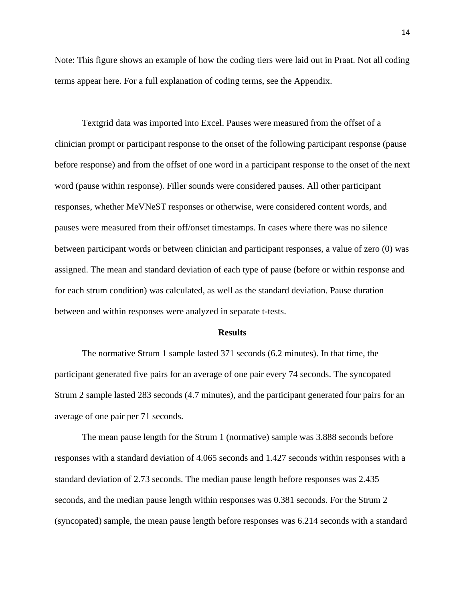Note: This figure shows an example of how the coding tiers were laid out in Praat. Not all coding terms appear here. For a full explanation of coding terms, see the Appendix.

Textgrid data was imported into Excel. Pauses were measured from the offset of a clinician prompt or participant response to the onset of the following participant response (pause before response) and from the offset of one word in a participant response to the onset of the next word (pause within response). Filler sounds were considered pauses. All other participant responses, whether MeVNeST responses or otherwise, were considered content words, and pauses were measured from their off/onset timestamps. In cases where there was no silence between participant words or between clinician and participant responses, a value of zero (0) was assigned. The mean and standard deviation of each type of pause (before or within response and for each strum condition) was calculated, as well as the standard deviation. Pause duration between and within responses were analyzed in separate t-tests.

#### **Results**

The normative Strum 1 sample lasted 371 seconds (6.2 minutes). In that time, the participant generated five pairs for an average of one pair every 74 seconds. The syncopated Strum 2 sample lasted 283 seconds (4.7 minutes), and the participant generated four pairs for an average of one pair per 71 seconds.

The mean pause length for the Strum 1 (normative) sample was 3.888 seconds before responses with a standard deviation of 4.065 seconds and 1.427 seconds within responses with a standard deviation of 2.73 seconds. The median pause length before responses was 2.435 seconds, and the median pause length within responses was 0.381 seconds. For the Strum 2 (syncopated) sample, the mean pause length before responses was 6.214 seconds with a standard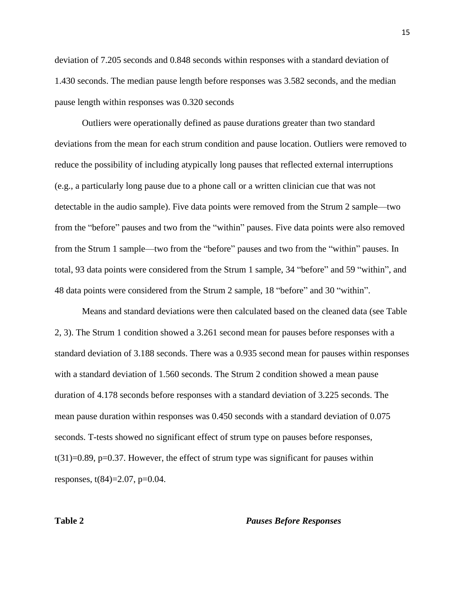deviation of 7.205 seconds and 0.848 seconds within responses with a standard deviation of 1.430 seconds. The median pause length before responses was 3.582 seconds, and the median pause length within responses was 0.320 seconds

Outliers were operationally defined as pause durations greater than two standard deviations from the mean for each strum condition and pause location. Outliers were removed to reduce the possibility of including atypically long pauses that reflected external interruptions (e.g., a particularly long pause due to a phone call or a written clinician cue that was not detectable in the audio sample). Five data points were removed from the Strum 2 sample—two from the "before" pauses and two from the "within" pauses. Five data points were also removed from the Strum 1 sample—two from the "before" pauses and two from the "within" pauses. In total, 93 data points were considered from the Strum 1 sample, 34 "before" and 59 "within", and 48 data points were considered from the Strum 2 sample, 18 "before" and 30 "within".

Means and standard deviations were then calculated based on the cleaned data (see Table 2, 3). The Strum 1 condition showed a 3.261 second mean for pauses before responses with a standard deviation of 3.188 seconds. There was a 0.935 second mean for pauses within responses with a standard deviation of 1.560 seconds. The Strum 2 condition showed a mean pause duration of 4.178 seconds before responses with a standard deviation of 3.225 seconds. The mean pause duration within responses was 0.450 seconds with a standard deviation of 0.075 seconds. T-tests showed no significant effect of strum type on pauses before responses,  $t(31)=0.89$ ,  $p=0.37$ . However, the effect of strum type was significant for pauses within responses, t(84)=2.07, p=0.04.

## **Table 2** *Pauses Before Responses*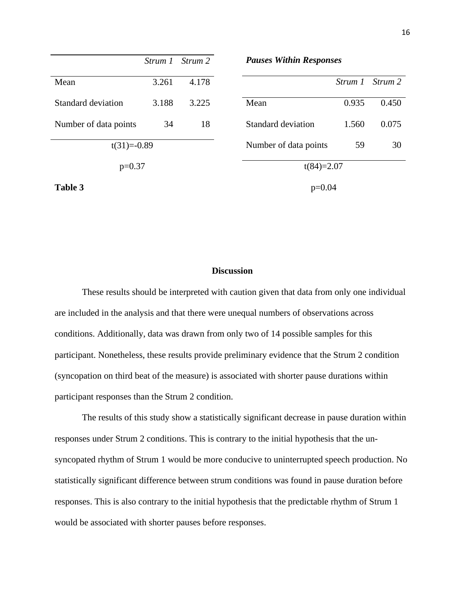|                       | Strum 1 | Strum 2 | <b>Pauses Within Responses</b> |              |         |  |  |  |
|-----------------------|---------|---------|--------------------------------|--------------|---------|--|--|--|
| Mean                  | 3.261   | 4.178   |                                | Strum 1      | Strum 2 |  |  |  |
| Standard deviation    | 3.188   | 3.225   | Mean                           | 0.935        | 0.450   |  |  |  |
| Number of data points | 34      | 18      | Standard deviation             | 1.560        | 0.075   |  |  |  |
| $t(31)=0.89$          |         |         | Number of data points          | 59<br>30     |         |  |  |  |
| $p=0.37$              |         |         |                                | $t(84)=2.07$ |         |  |  |  |
| Table 3               |         |         |                                | $p=0.04$     |         |  |  |  |

## **Discussion**

These results should be interpreted with caution given that data from only one individual are included in the analysis and that there were unequal numbers of observations across conditions. Additionally, data was drawn from only two of 14 possible samples for this participant. Nonetheless, these results provide preliminary evidence that the Strum 2 condition (syncopation on third beat of the measure) is associated with shorter pause durations within participant responses than the Strum 2 condition.

The results of this study show a statistically significant decrease in pause duration within responses under Strum 2 conditions. This is contrary to the initial hypothesis that the unsyncopated rhythm of Strum 1 would be more conducive to uninterrupted speech production. No statistically significant difference between strum conditions was found in pause duration before responses. This is also contrary to the initial hypothesis that the predictable rhythm of Strum 1 would be associated with shorter pauses before responses.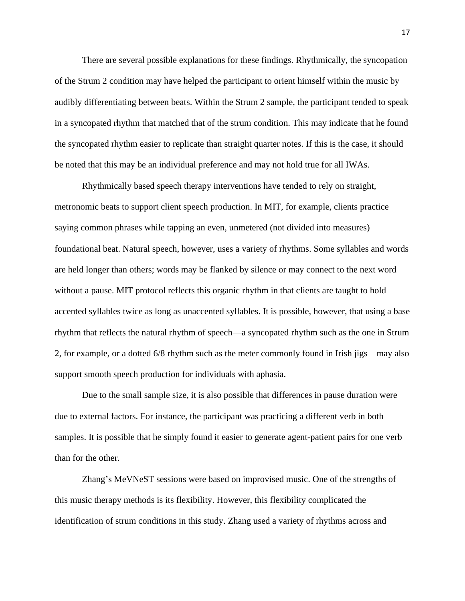There are several possible explanations for these findings. Rhythmically, the syncopation of the Strum 2 condition may have helped the participant to orient himself within the music by audibly differentiating between beats. Within the Strum 2 sample, the participant tended to speak in a syncopated rhythm that matched that of the strum condition. This may indicate that he found the syncopated rhythm easier to replicate than straight quarter notes. If this is the case, it should be noted that this may be an individual preference and may not hold true for all IWAs.

Rhythmically based speech therapy interventions have tended to rely on straight, metronomic beats to support client speech production. In MIT, for example, clients practice saying common phrases while tapping an even, unmetered (not divided into measures) foundational beat. Natural speech, however, uses a variety of rhythms. Some syllables and words are held longer than others; words may be flanked by silence or may connect to the next word without a pause. MIT protocol reflects this organic rhythm in that clients are taught to hold accented syllables twice as long as unaccented syllables. It is possible, however, that using a base rhythm that reflects the natural rhythm of speech—a syncopated rhythm such as the one in Strum 2, for example, or a dotted 6/8 rhythm such as the meter commonly found in Irish jigs—may also support smooth speech production for individuals with aphasia.

Due to the small sample size, it is also possible that differences in pause duration were due to external factors. For instance, the participant was practicing a different verb in both samples. It is possible that he simply found it easier to generate agent-patient pairs for one verb than for the other.

Zhang's MeVNeST sessions were based on improvised music. One of the strengths of this music therapy methods is its flexibility. However, this flexibility complicated the identification of strum conditions in this study. Zhang used a variety of rhythms across and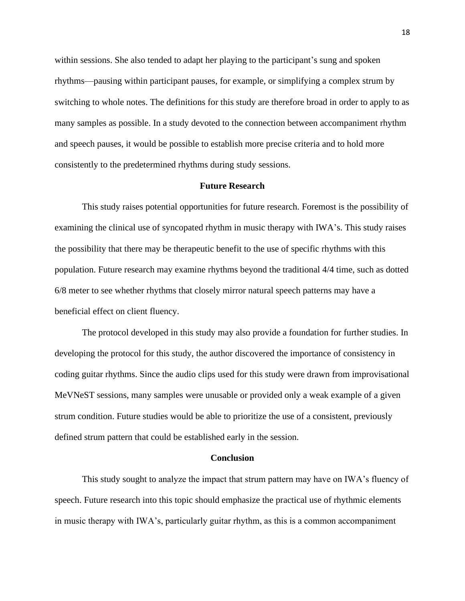within sessions. She also tended to adapt her playing to the participant's sung and spoken rhythms—pausing within participant pauses, for example, or simplifying a complex strum by switching to whole notes. The definitions for this study are therefore broad in order to apply to as many samples as possible. In a study devoted to the connection between accompaniment rhythm and speech pauses, it would be possible to establish more precise criteria and to hold more consistently to the predetermined rhythms during study sessions.

#### **Future Research**

This study raises potential opportunities for future research. Foremost is the possibility of examining the clinical use of syncopated rhythm in music therapy with IWA's. This study raises the possibility that there may be therapeutic benefit to the use of specific rhythms with this population. Future research may examine rhythms beyond the traditional 4/4 time, such as dotted 6/8 meter to see whether rhythms that closely mirror natural speech patterns may have a beneficial effect on client fluency.

The protocol developed in this study may also provide a foundation for further studies. In developing the protocol for this study, the author discovered the importance of consistency in coding guitar rhythms. Since the audio clips used for this study were drawn from improvisational MeVNeST sessions, many samples were unusable or provided only a weak example of a given strum condition. Future studies would be able to prioritize the use of a consistent, previously defined strum pattern that could be established early in the session.

#### **Conclusion**

This study sought to analyze the impact that strum pattern may have on IWA's fluency of speech. Future research into this topic should emphasize the practical use of rhythmic elements in music therapy with IWA's, particularly guitar rhythm, as this is a common accompaniment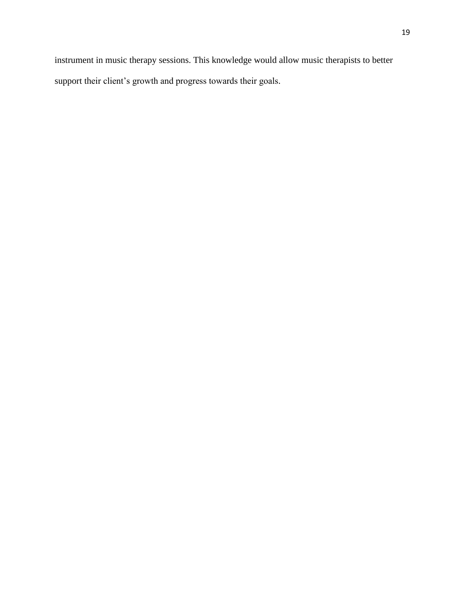instrument in music therapy sessions. This knowledge would allow music therapists to better support their client's growth and progress towards their goals.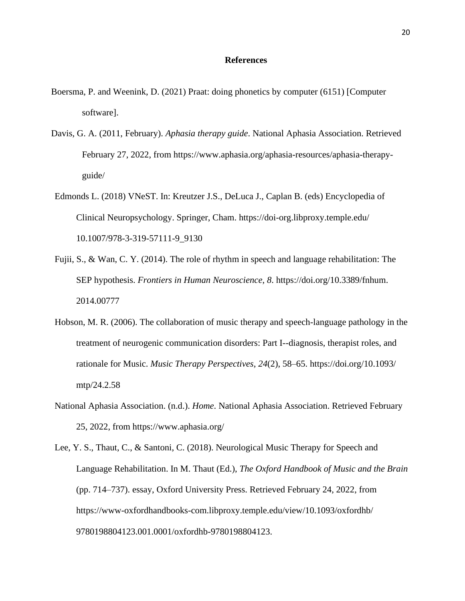## **References**

- Boersma, P. and Weenink, D. (2021) Praat: doing phonetics by computer (6151) [Computer software].
- Davis, G. A. (2011, February). *Aphasia therapy guide*. National Aphasia Association. Retrieved February 27, 2022, from https://www.aphasia.org/aphasia-resources/aphasia-therapyguide/
- Edmonds L. (2018) VNeST. In: Kreutzer J.S., DeLuca J., Caplan B. (eds) Encyclopedia of Clinical Neuropsychology. Springer, Cham.<https://doi-org.libproxy.temple.edu/> 10.1007/978-3-319-57111-9\_9130
- Fujii, S., & Wan, C. Y. (2014). The role of rhythm in speech and language rehabilitation: The SEP hypothesis. *Frontiers in Human Neuroscience*, *8*. [https://doi.org/10.3389/fnhum.](https://doi.org/10.3389/fnhum) 2014.00777
- Hobson, M. R. (2006). The collaboration of music therapy and speech-language pathology in the treatment of neurogenic communication disorders: Part I--diagnosis, therapist roles, and rationale for Music. *Music Therapy Perspectives*, *24*(2), 58–65.<https://doi.org/10.1093/> mtp/24.2.58
- National Aphasia Association. (n.d.). *Home*. National Aphasia Association. Retrieved February 25, 2022, from https://www.aphasia.org/
- Lee, Y. S., Thaut, C., & Santoni, C. (2018). Neurological Music Therapy for Speech and Language Rehabilitation. In M. Thaut (Ed.), *The Oxford Handbook of Music and the Brain* (pp. 714–737). essay, Oxford University Press. Retrieved February 24, 2022, from <https://www-oxfordhandbooks-com.libproxy.temple.edu/view/10.1093/oxfordhb/> 9780198804123.001.0001/oxfordhb-9780198804123.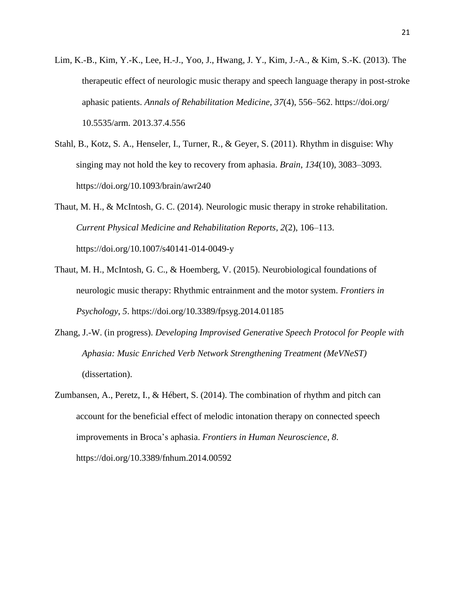- Lim, K.-B., Kim, Y.-K., Lee, H.-J., Yoo, J., Hwang, J. Y., Kim, J.-A., & Kim, S.-K. (2013). The therapeutic effect of neurologic music therapy and speech language therapy in post-stroke aphasic patients. *Annals of Rehabilitation Medicine*, *37*(4), 556–562.<https://doi.org/> 10.5535/arm. 2013.37.4.556
- Stahl, B., Kotz, S. A., Henseler, I., Turner, R., & Geyer, S. (2011). Rhythm in disguise: Why singing may not hold the key to recovery from aphasia. *Brain*, *134*(10), 3083–3093. https://doi.org/10.1093/brain/awr240

Thaut, M. H., & McIntosh, G. C. (2014). Neurologic music therapy in stroke rehabilitation. *Current Physical Medicine and Rehabilitation Reports*, *2*(2), 106–113. https://doi.org/10.1007/s40141-014-0049-y

- Thaut, M. H., McIntosh, G. C., & Hoemberg, V. (2015). Neurobiological foundations of neurologic music therapy: Rhythmic entrainment and the motor system. *Frontiers in Psychology*, *5*. https://doi.org/10.3389/fpsyg.2014.01185
- Zhang, J.-W. (in progress). *Developing Improvised Generative Speech Protocol for People with Aphasia: Music Enriched Verb Network Strengthening Treatment (MeVNeST)* (dissertation).
- Zumbansen, A., Peretz, I., & Hébert, S. (2014). The combination of rhythm and pitch can account for the beneficial effect of melodic intonation therapy on connected speech improvements in Broca's aphasia. *Frontiers in Human Neuroscience*, *8*. https://doi.org/10.3389/fnhum.2014.00592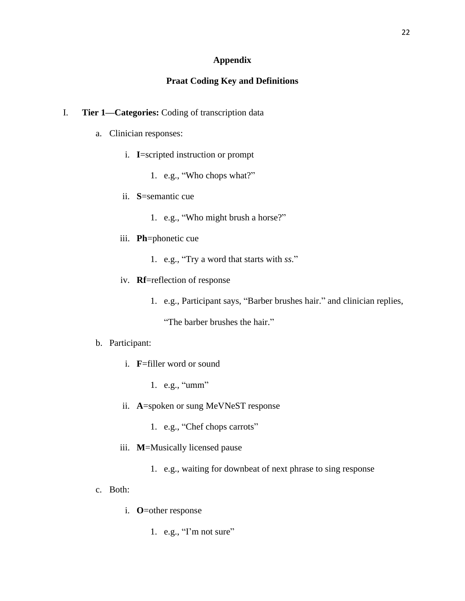## **Appendix**

## **Praat Coding Key and Definitions**

## I. **Tier 1—Categories:** Coding of transcription data

- a. Clinician responses:
	- i. **I**=scripted instruction or prompt
		- 1. e.g., "Who chops what?"
	- ii. **S**=semantic cue
		- 1. e.g., "Who might brush a horse?"
	- iii. **Ph**=phonetic cue
		- 1. e.g., "Try a word that starts with *ss*."
	- iv. **Rf**=reflection of response
		- 1. e.g., Participant says, "Barber brushes hair." and clinician replies,

"The barber brushes the hair."

## b. Participant:

- i. **F**=filler word or sound
	- 1. e.g., "umm"
- ii. **A**=spoken or sung MeVNeST response
	- 1. e.g., "Chef chops carrots"
- iii. **M**=Musically licensed pause
	- 1. e.g., waiting for downbeat of next phrase to sing response
- c. Both:
	- i. **O**=other response
		- 1. e.g., "I'm not sure"